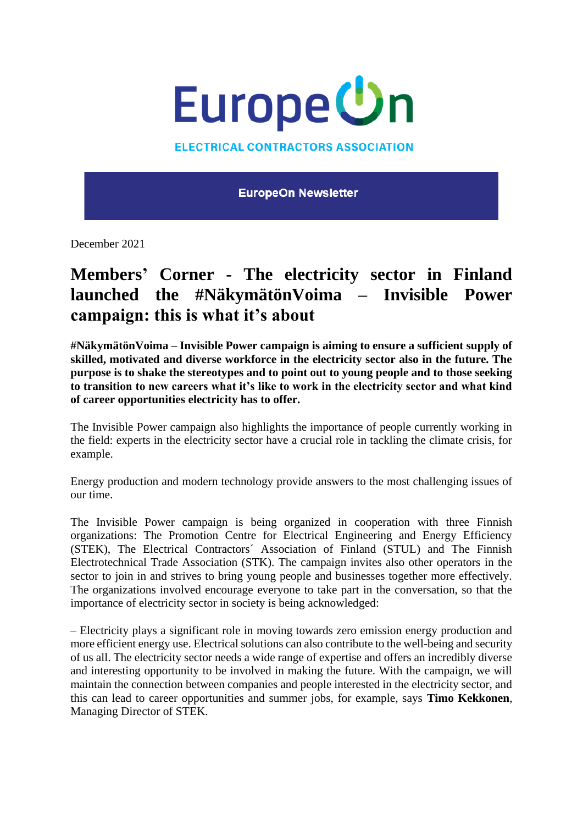

**ELECTRICAL CONTRACTORS ASSOCIATION** 

**EuropeOn Newsletter** 

December 2021

## **Members' Corner - The electricity sector in Finland launched the #NäkymätönVoima – Invisible Power campaign: this is what it's about**

**#NäkymätönVoima – Invisible Power campaign is aiming to ensure a sufficient supply of skilled, motivated and diverse workforce in the electricity sector also in the future. The purpose is to shake the stereotypes and to point out to young people and to those seeking to transition to new careers what it's like to work in the electricity sector and what kind of career opportunities electricity has to offer.**

The Invisible Power campaign also highlights the importance of people currently working in the field: experts in the electricity sector have a crucial role in tackling the climate crisis, for example.

Energy production and modern technology provide answers to the most challenging issues of our time.

The Invisible Power campaign is being organized in cooperation with three Finnish organizations: The Promotion Centre for Electrical Engineering and Energy Efficiency (STEK), The Electrical Contractors´ Association of Finland (STUL) and The Finnish Electrotechnical Trade Association (STK). The campaign invites also other operators in the sector to join in and strives to bring young people and businesses together more effectively. The organizations involved encourage everyone to take part in the conversation, so that the importance of electricity sector in society is being acknowledged:

– Electricity plays a significant role in moving towards zero emission energy production and more efficient energy use. Electrical solutions can also contribute to the well-being and security of us all. The electricity sector needs a wide range of expertise and offers an incredibly diverse and interesting opportunity to be involved in making the future. With the campaign, we will maintain the connection between companies and people interested in the electricity sector, and this can lead to career opportunities and summer jobs, for example, says **Timo Kekkonen**, Managing Director of STEK.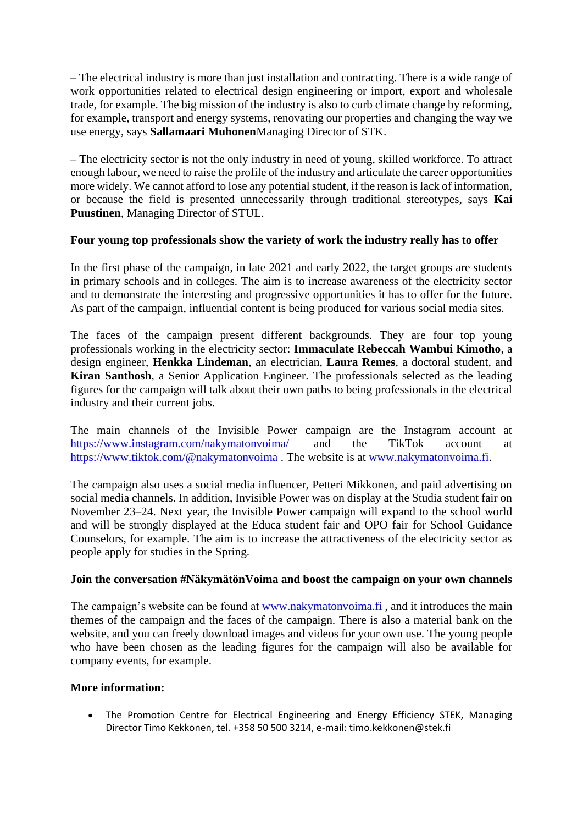– The electrical industry is more than just installation and contracting. There is a wide range of work opportunities related to electrical design engineering or import, export and wholesale trade, for example. The big mission of the industry is also to curb climate change by reforming, for example, transport and energy systems, renovating our properties and changing the way we use energy, says **Sallamaari Muhonen**Managing Director of STK.

– The electricity sector is not the only industry in need of young, skilled workforce. To attract enough labour, we need to raise the profile of the industry and articulate the career opportunities more widely. We cannot afford to lose any potential student, if the reason is lack of information, or because the field is presented unnecessarily through traditional stereotypes, says **Kai Puustinen**, Managing Director of STUL.

## **Four young top professionals show the variety of work the industry really has to offer**

In the first phase of the campaign, in late 2021 and early 2022, the target groups are students in primary schools and in colleges. The aim is to increase awareness of the electricity sector and to demonstrate the interesting and progressive opportunities it has to offer for the future. As part of the campaign, influential content is being produced for various social media sites.

The faces of the campaign present different backgrounds. They are four top young professionals working in the electricity sector: **Immaculate Rebeccah Wambui Kimotho**, a design engineer, **Henkka Lindeman**, an electrician, **Laura Remes**, a doctoral student, and **Kiran Santhosh**, a Senior Application Engineer. The professionals selected as the leading figures for the campaign will talk about their own paths to being professionals in the electrical industry and their current jobs.

The main channels of the Invisible Power campaign are the Instagram account at <https://www.instagram.com/nakymatonvoima/> and the TikTok account at <https://www.tiktok.com/@nakymatonvoima> . The website is at [www.nakymatonvoima.fi.](http://www.nakymatonvoima.fi/)

The campaign also uses a social media influencer, Petteri Mikkonen, and paid advertising on social media channels. In addition, Invisible Power was on display at the Studia student fair on November 23–24. Next year, the Invisible Power campaign will expand to the school world and will be strongly displayed at the Educa student fair and OPO fair for School Guidance Counselors, for example. The aim is to increase the attractiveness of the electricity sector as people apply for studies in the Spring.

## **Join the conversation #NäkymätönVoima and boost the campaign on your own channels**

The campaign's website can be found at [www.nakymatonvoima.fi](http://www.nakymatonvoima.fi/), and it introduces the main themes of the campaign and the faces of the campaign. There is also a material bank on the website, and you can freely download images and videos for your own use. The young people who have been chosen as the leading figures for the campaign will also be available for company events, for example.

## **More information:**

• The Promotion Centre for Electrical Engineering and Energy Efficiency STEK, Managing Director Timo Kekkonen, tel. +358 50 500 3214, e-mail: timo.kekkonen@stek.fi